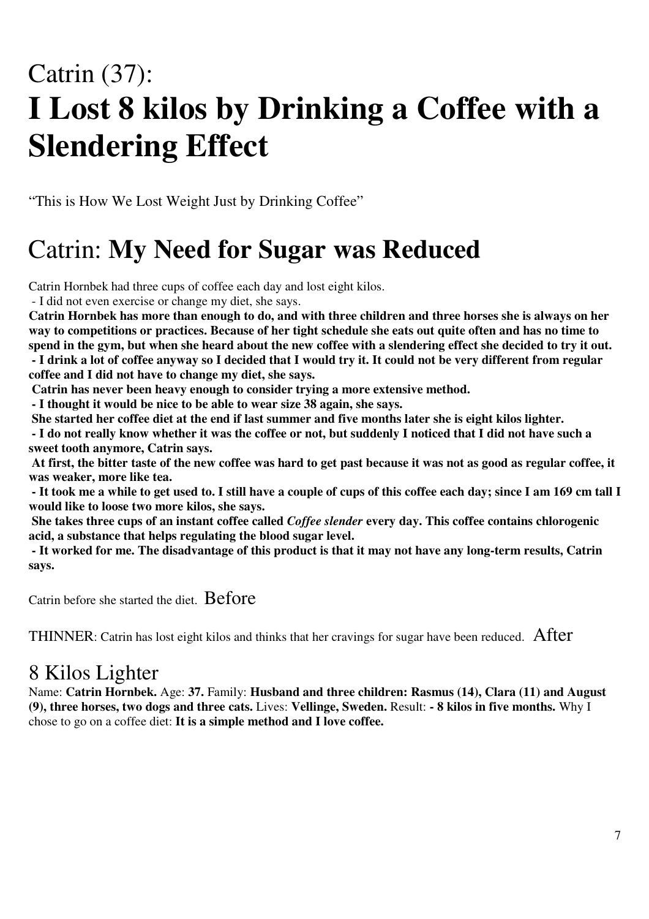# Catrin (37): **I Lost 8 kilos by Drinking a Coffee with a Slendering Effect**

"This is How We Lost Weight Just by Drinking Coffee"

## Catrin: **My Need for Sugar was Reduced**

Catrin Hornbek had three cups of coffee each day and lost eight kilos.

- I did not even exercise or change my diet, she says.

Catrin Hornbek has more than enough to do, and with three children and three horses she is always on her way to competitions or practices. Because of her tight schedule she eats out quite often and has no time to spend in the gym, but when she heard about the new coffee with a slendering effect she decided to try it out. - I drink a lot of coffee anyway so I decided that I would try it. It could not be very different from regular **coffee and I did not have to change my diet, she says.**

**Catrin has never been heavy enough to consider trying a more extensive method.**

**- I thought it would be nice to be able to wear size 38 again, she says.**

She started her coffee diet at the end if last summer and five months later she is eight kilos lighter.

- I do not really know whether it was the coffee or not, but suddenly I noticed that I did not have such a **sweet tooth anymore, Catrin says.**

At first, the bitter taste of the new coffee was hard to get past because it was not as good as regular coffee, it **was weaker, more like tea.**

- It took me a while to get used to. I still have a couple of cups of this coffee each day; since I am 169 cm tall I **would like to loose two more kilos, she says.**

She takes three cups of an instant coffee called *Coffee slender* every day. This coffee contains chlorogenic **acid, a substance that helps regulating the blood sugar level.**

- It worked for me. The disadvantage of this product is that it may not have any long-term results, Catrin **says.**

Catrin before she started the diet. Before

THINNER: Catrin has lost eight kilos and thinks that her cravings for sugar have been reduced. After

### 8 Kilos Lighter

Name: **Catrin Hornbek.** Age: **37.** Family: **Husband and three children: Rasmus (14), Clara (11) and August (9), three horses, two dogs and three cats.** Lives: **Vellinge, Sweden.** Result: **- 8 kilos in five months.** Why I chose to go on a coffee diet: **It is a simple method and I love coffee.**